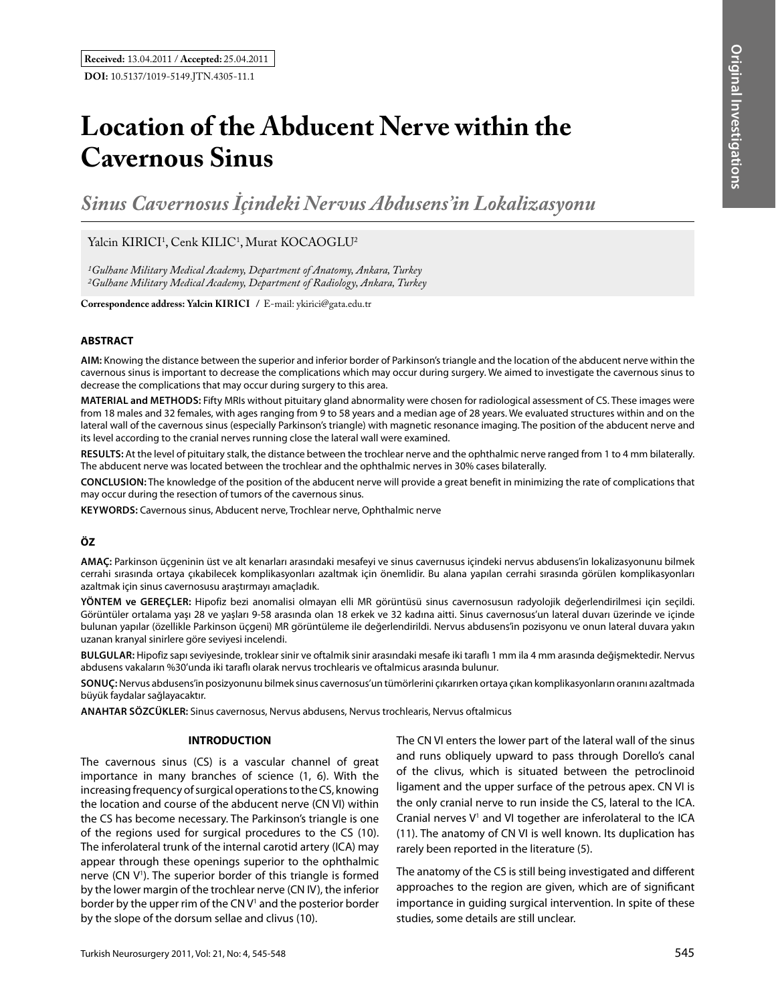# **Location of the Abducent Nerve within the Cavernous Sinus**

*Sinus Cavernosus İçindeki Nervus Abdusens'in Lokalizasyonu*

Yalcin KIRICI<sup>1</sup>, Cenk KILIC<sup>1</sup>, Murat KOCAOGLU<sup>2</sup>

*1Gulhane Military Medical Academy, Department of Anatomy, Ankara, Turkey 2Gulhane Military Medical Academy, Department of Radiology, Ankara, Turkey*

**Correspondence address: Yalcin Kırıcı /** E-mail: ykirici@gata.edu.tr

## **ABSTRACT**

**AIm:** Knowing the distance between the superior and inferior border of Parkinson's triangle and the location of the abducent nerve within the cavernous sinus is important to decrease the complications which may occur during surgery. We aimed to investigate the cavernous sinus to decrease the complications that may occur during surgery to this area.

**MaterIal and Methods:** Fifty MRIs without pituitary gland abnormality were chosen for radiological assessment of CS. These images were from 18 males and 32 females, with ages ranging from 9 to 58 years and a median age of 28 years. We evaluated structures within and on the lateral wall of the cavernous sinus (especially Parkinson's triangle) with magnetic resonance imaging. The position of the abducent nerve and its level according to the cranial nerves running close the lateral wall were examined.

**Results:** At the level of pituitary stalk, the distance between the trochlear nerve and the ophthalmic nerve ranged from 1 to 4 mm bilaterally. The abducent nerve was located between the trochlear and the ophthalmic nerves in 30% cases bilaterally.

**ConclusIon:** The knowledge of the position of the abducent nerve will provide a great benefit in minimizing the rate of complications that may occur during the resection of tumors of the cavernous sinus.

**Keywords:** Cavernous sinus, Abducent nerve, Trochlear nerve, Ophthalmic nerve

# **ÖZ**

**AMAÇ:** Parkinson üçgeninin üst ve alt kenarları arasındaki mesafeyi ve sinus cavernusus içindeki nervus abdusens'in lokalizasyonunu bilmek cerrahi sırasında ortaya çıkabilecek komplikasyonları azaltmak için önemlidir. Bu alana yapılan cerrahi sırasında görülen komplikasyonları azaltmak için sinus cavernosusu araştırmayı amaçladık.

**YÖNTEM ve GEREÇLER:** Hipofiz bezi anomalisi olmayan elli MR görüntüsü sinus cavernosusun radyolojik değerlendirilmesi için seçildi. Görüntüler ortalama yaşı 28 ve yaşları 9-58 arasında olan 18 erkek ve 32 kadına aitti. Sinus cavernosus'un lateral duvarı üzerinde ve içinde bulunan yapılar (özellikle Parkinson üçgeni) MR görüntüleme ile değerlendirildi. Nervus abdusens'in pozisyonu ve onun lateral duvara yakın uzanan kranyal sinirlere göre seviyesi incelendi.

**BULGULAR:** Hipofiz sapı seviyesinde, troklear sinir ve oftalmik sinir arasındaki mesafe iki taraflı 1 mm ila 4 mm arasında değişmektedir. Nervus abdusens vakaların %30'unda iki taraflı olarak nervus trochlearis ve oftalmicus arasında bulunur.

**SONUÇ:** Nervus abdusens'in posizyonunu bilmek sinus cavernosus'un tümörlerini çıkarırken ortaya çıkan komplikasyonların oranını azaltmada büyük faydalar sağlayacaktır.

**ANAHTAR SÖZCÜKLER:** Sinus cavernosus, Nervus abdusens, Nervus trochlearis, Nervus oftalmicus

## **INTRODUCTION**

The cavernous sinus (CS) is a vascular channel of great importance in many branches of science (1, 6). With the increasing frequency of surgical operations to the CS, knowing the location and course of the abducent nerve (CN VI) within the CS has become necessary. The Parkinson's triangle is one of the regions used for surgical procedures to the CS (10). The inferolateral trunk of the internal carotid artery (ICA) may appear through these openings superior to the ophthalmic nerve (CN V<sup>1</sup>). The superior border of this triangle is formed by the lower margin of the trochlear nerve (CN IV), the inferior border by the upper rim of the CNV<sup>1</sup> and the posterior border by the slope of the dorsum sellae and clivus (10).

The CN VI enters the lower part of the lateral wall of the sinus and runs obliquely upward to pass through Dorello's canal of the clivus, which is situated between the petroclinoid ligament and the upper surface of the petrous apex. CN VI is the only cranial nerve to run inside the CS, lateral to the ICA. Cranial nerves  $V^1$  and VI together are inferolateral to the ICA (11). The anatomy of CN VI is well known. Its duplication has rarely been reported in the literature (5).

The anatomy of the CS is still being investigated and different approaches to the region are given, which are of significant importance in guiding surgical intervention. In spite of these studies, some details are still unclear.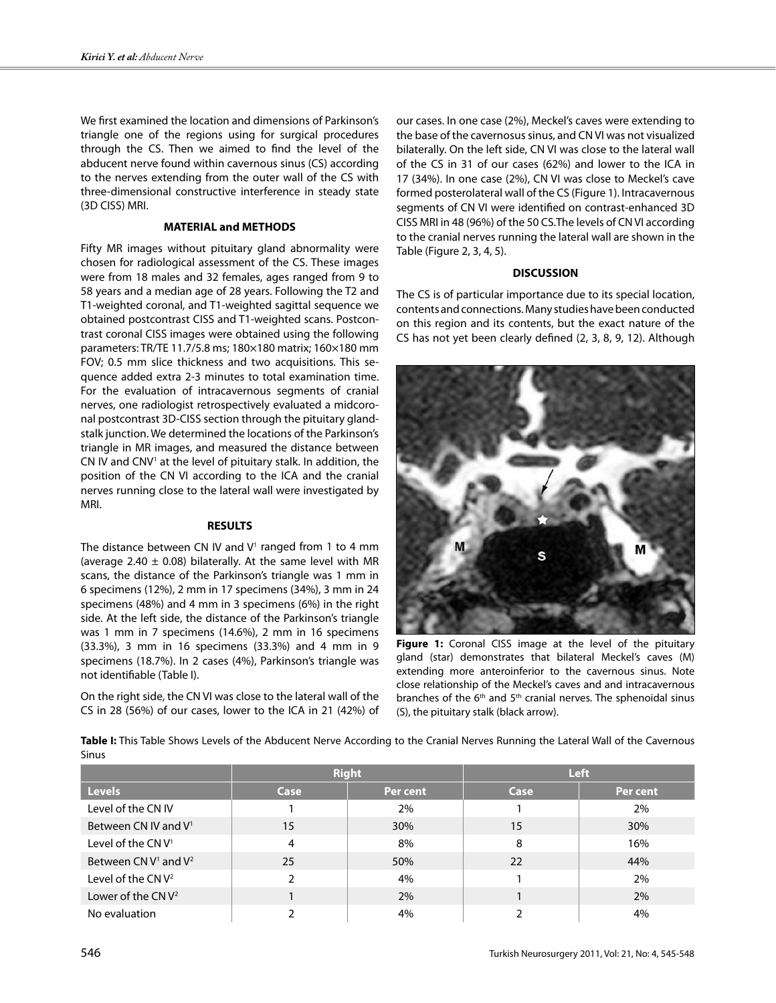We first examined the location and dimensions of Parkinson's triangle one of the regions using for surgical procedures through the CS. Then we aimed to find the level of the abducent nerve found within cavernous sinus (CS) according to the nerves extending from the outer wall of the CS with three-dimensional constructive interference in steady state (3D CISS) MRI.

# **MATERIAL and METHODS**

Fifty MR images without pituitary gland abnormality were chosen for radiological assessment of the CS. These images were from 18 males and 32 females, ages ranged from 9 to 58 years and a median age of 28 years. Following the T2 and T1-weighted coronal, and T1-weighted sagittal sequence we obtained postcontrast CISS and T1-weighted scans. Postcontrast coronal CISS images were obtained using the following parameters: TR/TE 11.7/5.8 ms; 180×180 matrix; 160×180 mm FOV; 0.5 mm slice thickness and two acquisitions. This sequence added extra 2-3 minutes to total examination time. For the evaluation of intracavernous segments of cranial nerves, one radiologist retrospectively evaluated a midcoronal postcontrast 3D-CISS section through the pituitary glandstalk junction. We determined the locations of the Parkinson's triangle in MR images, and measured the distance between CN IV and CNV<sup>1</sup> at the level of pituitary stalk. In addition, the position of the CN VI according to the ICA and the cranial nerves running close to the lateral wall were investigated by MRI.

## **RESULTS**

The distance between CN IV and  $V<sup>1</sup>$  ranged from 1 to 4 mm (average 2.40  $\pm$  0.08) bilaterally. At the same level with MR scans, the distance of the Parkinson's triangle was 1 mm in 6 specimens (12%), 2 mm in 17 specimens (34%), 3 mm in 24 specimens (48%) and 4 mm in 3 specimens (6%) in the right side. At the left side, the distance of the Parkinson's triangle was 1 mm in 7 specimens (14.6%), 2 mm in 16 specimens (33.3%), 3 mm in 16 specimens (33.3%) and 4 mm in 9 specimens (18.7%). In 2 cases (4%), Parkinson's triangle was not identifiable (Table I).

On the right side, the CN VI was close to the lateral wall of the CS in 28 (56%) of our cases, lower to the ICA in 21 (42%) of our cases. In one case (2%), Meckel's caves were extending to the base of the cavernosus sinus, and CN VI was not visualized bilaterally. On the left side, CN VI was close to the lateral wall of the CS in 31 of our cases (62%) and lower to the ICA in 17 (34%). In one case (2%), CN VI was close to Meckel's cave formed posterolateral wall of the CS (Figure 1). Intracavernous segments of CN VI were identified on contrast-enhanced 3D CISS MRI in 48 (96%) of the 50 CS.The levels of CN VI according to the cranial nerves running the lateral wall are shown in the Table (Figure 2, 3, 4, 5).

# **DISCUSSION**

The CS is of particular importance due to its special location, contents and connections. Many studies have been conducted on this region and its contents, but the exact nature of the CS has not yet been clearly defined (2, 3, 8, 9, 12). Although



**Figure 1:** Coronal CISS image at the level of the pituitary gland (star) demonstrates that bilateral Meckel's caves (M) extending more anteroinferior to the cavernous sinus. Note close relationship of the Meckel's caves and and intracavernous branches of the  $6<sup>th</sup>$  and  $5<sup>th</sup>$  cranial nerves. The sphenoidal sinus (S), the pituitary stalk (black arrow).

**Table I:** This Table Shows Levels of the Abducent Nerve According to the Cranial Nerves Running the Lateral Wall of the Cavernous Sinus

|                                  | <b>Right</b> |          | <b>Left</b> |          |
|----------------------------------|--------------|----------|-------------|----------|
| <b>Levels</b>                    | Case         | Per cent | Case        | Per cent |
| Level of the CN IV               |              | 2%       |             | 2%       |
| Between CN IV and V <sup>1</sup> | 15           | 30%      | 15          | 30%      |
| Level of the $CNV1$              | 4            | 8%       | 8           | 16%      |
| Between CN $V^1$ and $V^2$       | 25           | 50%      | 22          | 44%      |
| Level of the CN $V^2$            | ົ            | 4%       |             | 2%       |
| Lower of the $CNV2$              |              | 2%       |             | 2%       |
| No evaluation                    |              | 4%       |             | 4%       |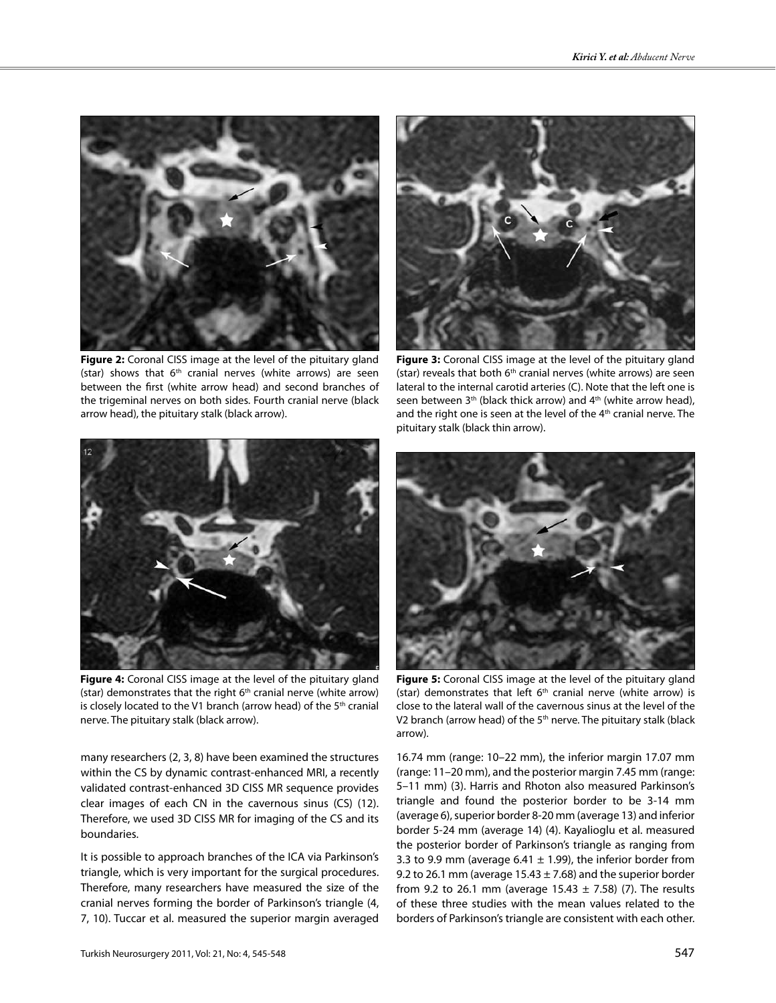

**Figure 2:** Coronal CISS image at the level of the pituitary gland (star) shows that  $6<sup>th</sup>$  cranial nerves (white arrows) are seen between the first (white arrow head) and second branches of the trigeminal nerves on both sides. Fourth cranial nerve (black arrow head), the pituitary stalk (black arrow).



**Figure 4:** Coronal CISS image at the level of the pituitary gland (star) demonstrates that the right  $6<sup>th</sup>$  cranial nerve (white arrow) is closely located to the V1 branch (arrow head) of the 5<sup>th</sup> cranial nerve. The pituitary stalk (black arrow).

many researchers (2, 3, 8) have been examined the structures within the CS by dynamic contrast-enhanced MRI, a recently validated contrast-enhanced 3D CISS MR sequence provides clear images of each CN in the cavernous sinus (CS) (12). Therefore, we used 3D CISS MR for imaging of the CS and its boundaries.

It is possible to approach branches of the ICA via Parkinson's triangle, which is very important for the surgical procedures. Therefore, many researchers have measured the size of the cranial nerves forming the border of Parkinson's triangle (4, 7, 10). Tuccar et al. measured the superior margin averaged



**Figure 3:** Coronal CISS image at the level of the pituitary gland (star) reveals that both  $6<sup>th</sup>$  cranial nerves (white arrows) are seen lateral to the internal carotid arteries (C). Note that the left one is seen between  $3<sup>th</sup>$  (black thick arrow) and  $4<sup>th</sup>$  (white arrow head), and the right one is seen at the level of the 4<sup>th</sup> cranial nerve. The pituitary stalk (black thin arrow).



**Figure 5:** Coronal CISS image at the level of the pituitary gland (star) demonstrates that left  $6<sup>th</sup>$  cranial nerve (white arrow) is close to the lateral wall of the cavernous sinus at the level of the V2 branch (arrow head) of the 5<sup>th</sup> nerve. The pituitary stalk (black arrow).

16.74 mm (range: 10–22 mm), the inferior margin 17.07 mm (range: 11–20 mm), and the posterior margin 7.45 mm (range: 5–11 mm) (3). Harris and Rhoton also measured Parkinson's triangle and found the posterior border to be 3-14 mm (average 6), superior border 8-20 mm (average 13) and inferior border 5-24 mm (average 14) (4). Kayalioglu et al. measured the posterior border of Parkinson's triangle as ranging from 3.3 to 9.9 mm (average 6.41  $\pm$  1.99), the inferior border from 9.2 to 26.1 mm (average  $15.43 \pm 7.68$ ) and the superior border from 9.2 to 26.1 mm (average  $15.43 \pm 7.58$ ) (7). The results of these three studies with the mean values related to the borders of Parkinson's triangle are consistent with each other.